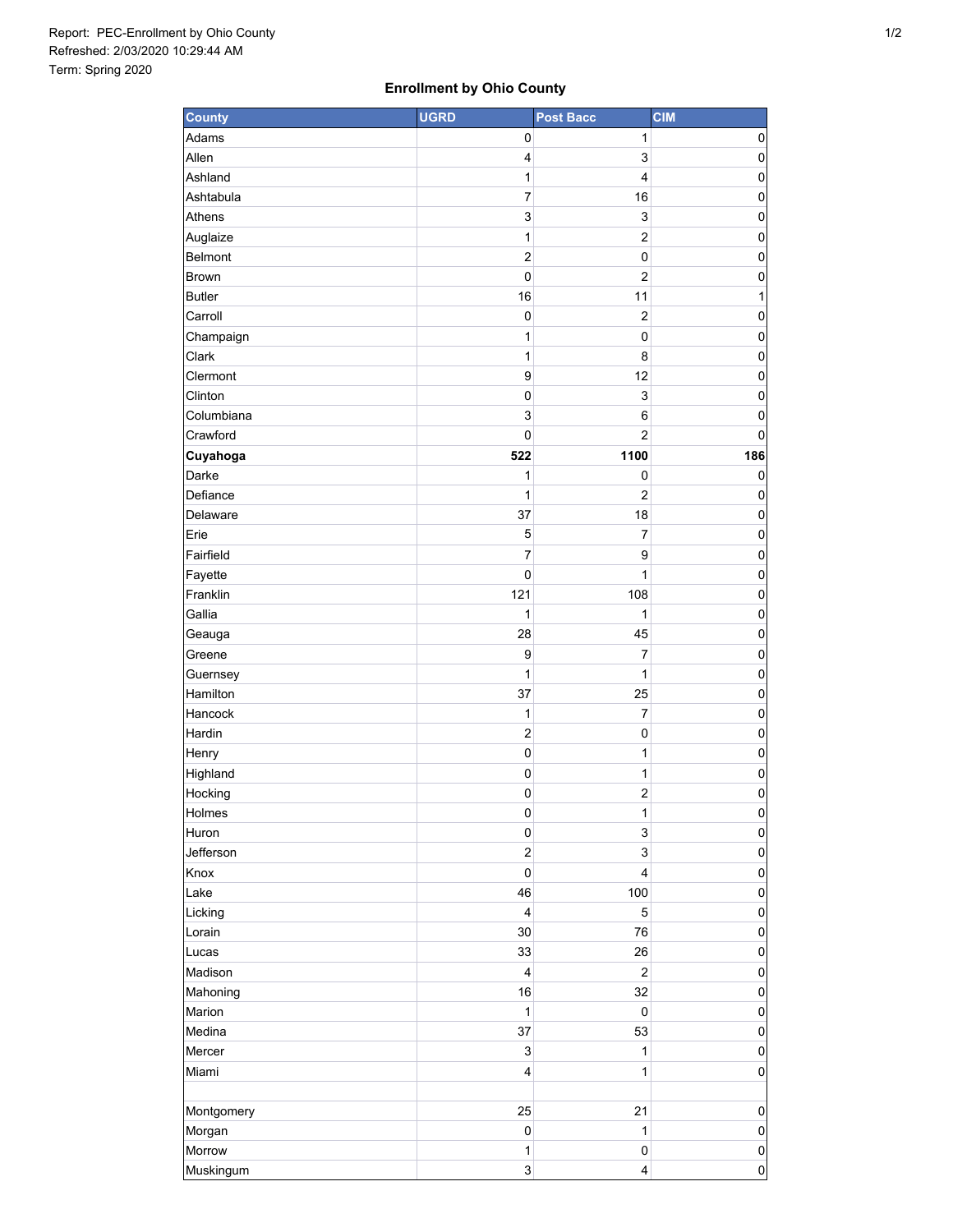## **Enrollment by Ohio County**

| <b>County</b> | <b>UGRD</b>               | <b>Post Bacc</b>        | <b>CIM</b>          |
|---------------|---------------------------|-------------------------|---------------------|
| Adams         | 0                         | 1                       | 0                   |
| Allen         | 4                         | 3                       | 0                   |
| Ashland       | 1                         | 4                       | 0                   |
| Ashtabula     | 7                         | 16                      | $\pmb{0}$           |
| Athens        | 3                         | 3                       | $\mathbf 0$         |
| Auglaize      | 1                         | $\overline{c}$          | $\mathbf 0$         |
| Belmont       | $\overline{c}$            | 0                       | 0                   |
| Brown         | $\pmb{0}$                 | $\overline{c}$          | $\mathbf 0$         |
| <b>Butler</b> | 16                        | 11                      | 1                   |
| Carroll       | $\mathbf 0$               | $\overline{c}$          | 0                   |
| Champaign     | 1                         | 0                       | 0                   |
| Clark         | 1                         | 8                       | $\pmb{0}$           |
| Clermont      | $\boldsymbol{9}$          | 12                      | 0                   |
| Clinton       | $\mathsf 0$               | 3                       | $\mathbf 0$         |
| Columbiana    | 3                         | 6                       | 0                   |
| Crawford      | $\pmb{0}$                 | $\overline{2}$          | 0                   |
| Cuyahoga      | 522                       | 1100                    | 186                 |
| Darke         | 1                         | 0                       | 0                   |
| Defiance      | 1                         | $\overline{c}$          | 0                   |
| Delaware      | 37                        | 18                      | 0                   |
| Erie          | 5                         | $\overline{7}$          | $\mathbf 0$         |
| Fairfield     | 7                         | 9                       | 0                   |
| Fayette       | $\pmb{0}$                 | 1                       | $\pmb{0}$           |
| Franklin      | 121                       | 108                     | $\pmb{0}$           |
| Gallia        | 1                         | 1                       | 0                   |
| Geauga        | 28                        | 45                      | 0                   |
| Greene        | $\boldsymbol{9}$          | $\overline{7}$          | 0                   |
| Guernsey      | 1                         | 1                       | $\mathbf 0$         |
| Hamilton      | 37                        | 25                      | $\mathbf 0$         |
| Hancock       | 1                         | 7                       | $\mathbf 0$         |
| Hardin        | $\overline{\mathbf{c}}$   | 0                       | $\pmb{0}$           |
| Henry         | $\mathbf 0$               | 1                       | $\pmb{0}$           |
| Highland      | $\pmb{0}$                 | 1                       | 0                   |
| Hocking       | 0                         | $\overline{\mathbf{c}}$ | 0                   |
| Holmes        | $\pmb{0}$                 | 1                       | $\mathsf{O}\xspace$ |
| Huron         | $\pmb{0}$                 | 3                       | $\pmb{0}$           |
| Jefferson     | $\boldsymbol{2}$          | 3                       | $\mathsf 0$         |
| Knox          | $\mathbf 0$               | 4                       | $\pmb{0}$           |
| Lake          | 46                        | 100                     | $\mathsf 0$         |
| Licking       | $\overline{\mathbf{4}}$   | 5                       | $\pmb{0}$           |
| Lorain        | 30                        | 76                      | $\mathbf 0$         |
| Lucas         | 33                        | 26                      | $\pmb{0}$           |
| Madison       | $\overline{4}$            | $\boldsymbol{2}$        | $\pmb{0}$           |
| Mahoning      | 16                        | 32                      | $\pmb{0}$           |
| Marion        | 1                         | $\pmb{0}$               | $\mathsf 0$         |
| Medina        | 37                        | 53                      | $\pmb{0}$           |
| Mercer        | $\ensuremath{\mathsf{3}}$ | 1                       | $\mathbf 0$         |
| Miami         | $\overline{\mathbf{4}}$   | 1                       | $\pmb{0}$           |
|               |                           |                         |                     |
| Montgomery    | 25                        | 21                      | $\pmb{0}$           |
| Morgan        | $\mathbf 0$               | $\mathbf{1}$            | $\pmb{0}$           |
| Morrow        | 1                         | 0                       | $\mathsf 0$         |
| Muskingum     | 3                         | 4                       | $\mathsf{O}\xspace$ |